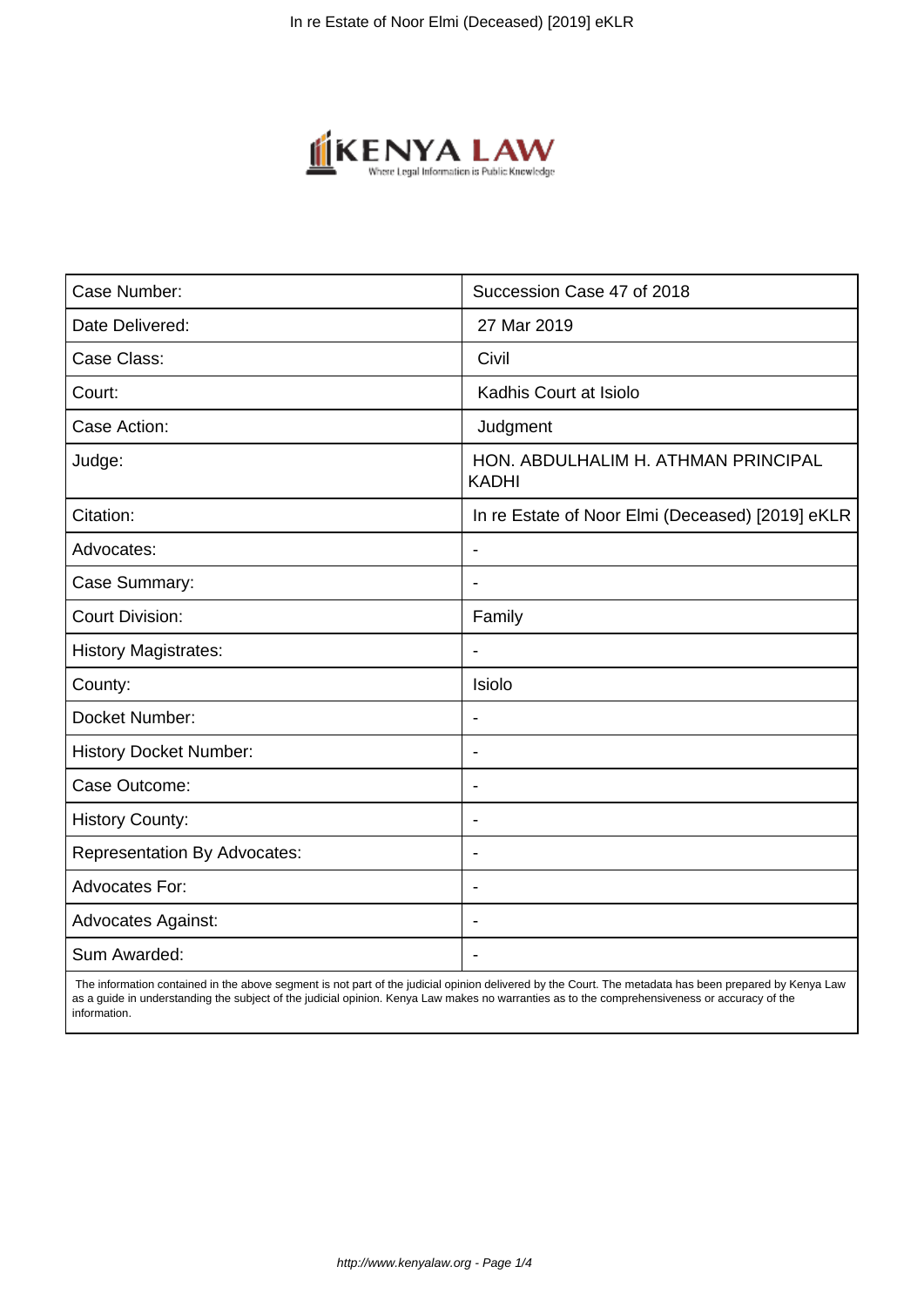

| Case Number:                        | Succession Case 47 of 2018                          |
|-------------------------------------|-----------------------------------------------------|
| Date Delivered:                     | 27 Mar 2019                                         |
| Case Class:                         | Civil                                               |
| Court:                              | Kadhis Court at Isiolo                              |
| Case Action:                        | Judgment                                            |
| Judge:                              | HON, ABDULHALIM H. ATHMAN PRINCIPAL<br><b>KADHI</b> |
| Citation:                           | In re Estate of Noor Elmi (Deceased) [2019] eKLR    |
| Advocates:                          |                                                     |
| Case Summary:                       | $\blacksquare$                                      |
| <b>Court Division:</b>              | Family                                              |
| <b>History Magistrates:</b>         | $\blacksquare$                                      |
| County:                             | Isiolo                                              |
| Docket Number:                      |                                                     |
| <b>History Docket Number:</b>       | $\overline{\phantom{a}}$                            |
| Case Outcome:                       | $\overline{\phantom{a}}$                            |
| <b>History County:</b>              | $\blacksquare$                                      |
| <b>Representation By Advocates:</b> | $\overline{\phantom{a}}$                            |
| <b>Advocates For:</b>               | $\blacksquare$                                      |
| <b>Advocates Against:</b>           | $\blacksquare$                                      |
| Sum Awarded:                        |                                                     |

 The information contained in the above segment is not part of the judicial opinion delivered by the Court. The metadata has been prepared by Kenya Law as a guide in understanding the subject of the judicial opinion. Kenya Law makes no warranties as to the comprehensiveness or accuracy of the information.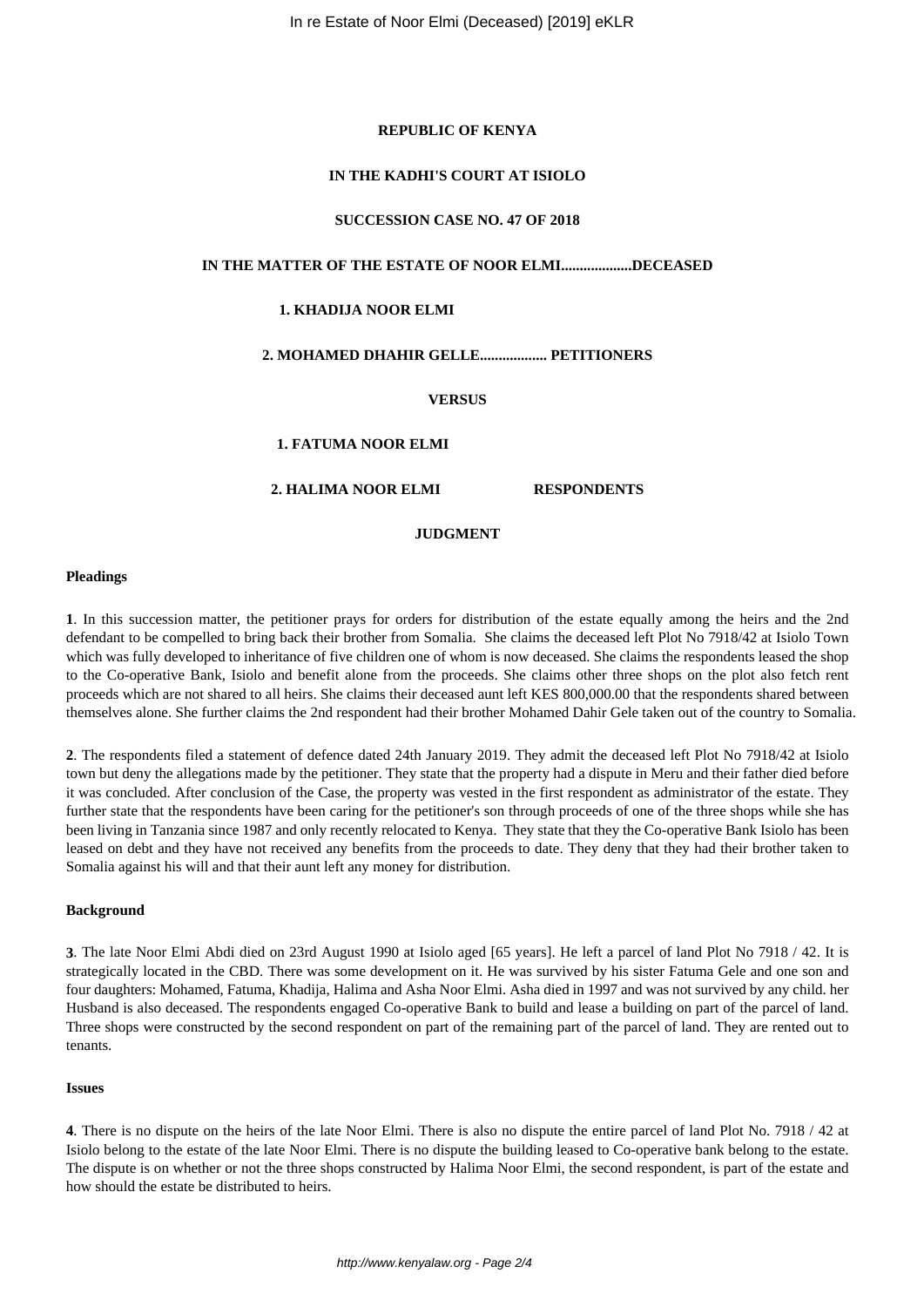#### **REPUBLIC OF KENYA**

#### **IN THE KADHI'S COURT AT ISIOLO**

#### **SUCCESSION CASE NO. 47 OF 2018**

# **IN THE MATTER OF THE ESTATE OF NOOR ELMI...................DECEASED**

#### **1. KHADIJA NOOR ELMI**

# **2. MOHAMED DHAHIR GELLE.................. PETITIONERS**

## **VERSUS**

## **1. FATUMA NOOR ELMI**

### **2. HALIMA NOOR ELMI RESPONDENTS**

#### **JUDGMENT**

#### **Pleadings**

**1**. In this succession matter, the petitioner prays for orders for distribution of the estate equally among the heirs and the 2nd defendant to be compelled to bring back their brother from Somalia. She claims the deceased left Plot No 7918/42 at Isiolo Town which was fully developed to inheritance of five children one of whom is now deceased. She claims the respondents leased the shop to the Co-operative Bank, Isiolo and benefit alone from the proceeds. She claims other three shops on the plot also fetch rent proceeds which are not shared to all heirs. She claims their deceased aunt left KES 800,000.00 that the respondents shared between themselves alone. She further claims the 2nd respondent had their brother Mohamed Dahir Gele taken out of the country to Somalia.

**2**. The respondents filed a statement of defence dated 24th January 2019. They admit the deceased left Plot No 7918/42 at Isiolo town but deny the allegations made by the petitioner. They state that the property had a dispute in Meru and their father died before it was concluded. After conclusion of the Case, the property was vested in the first respondent as administrator of the estate. They further state that the respondents have been caring for the petitioner's son through proceeds of one of the three shops while she has been living in Tanzania since 1987 and only recently relocated to Kenya. They state that they the Co-operative Bank Isiolo has been leased on debt and they have not received any benefits from the proceeds to date. They deny that they had their brother taken to Somalia against his will and that their aunt left any money for distribution.

#### **Background**

**3**. The late Noor Elmi Abdi died on 23rd August 1990 at Isiolo aged [65 years]. He left a parcel of land Plot No 7918 / 42. It is strategically located in the CBD. There was some development on it. He was survived by his sister Fatuma Gele and one son and four daughters: Mohamed, Fatuma, Khadija, Halima and Asha Noor Elmi. Asha died in 1997 and was not survived by any child. her Husband is also deceased. The respondents engaged Co-operative Bank to build and lease a building on part of the parcel of land. Three shops were constructed by the second respondent on part of the remaining part of the parcel of land. They are rented out to tenants.

#### **Issues**

**4**. There is no dispute on the heirs of the late Noor Elmi. There is also no dispute the entire parcel of land Plot No. 7918 / 42 at Isiolo belong to the estate of the late Noor Elmi. There is no dispute the building leased to Co-operative bank belong to the estate. The dispute is on whether or not the three shops constructed by Halima Noor Elmi, the second respondent, is part of the estate and how should the estate be distributed to heirs.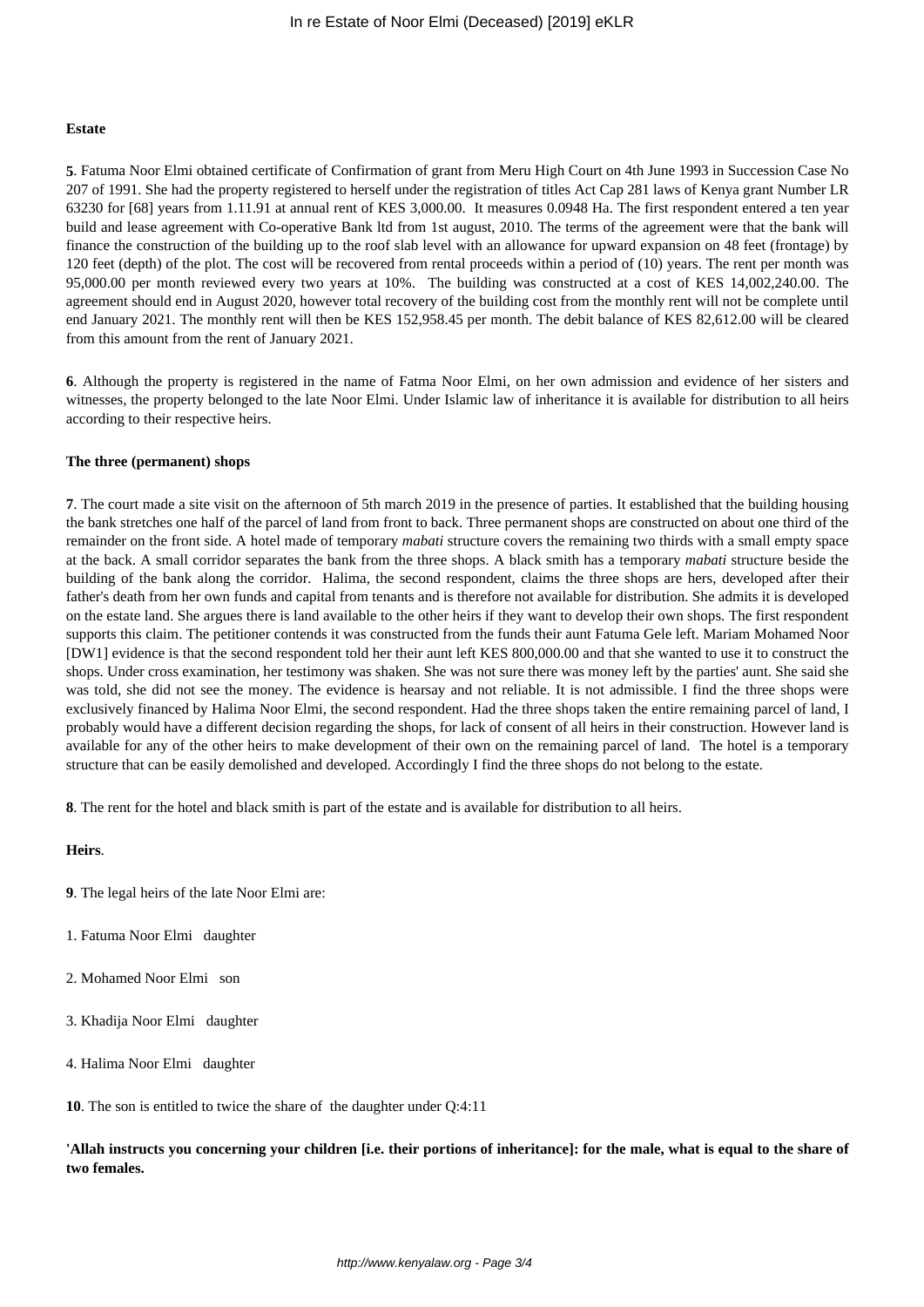#### **Estate**

**5**. Fatuma Noor Elmi obtained certificate of Confirmation of grant from Meru High Court on 4th June 1993 in Succession Case No 207 of 1991. She had the property registered to herself under the registration of titles Act Cap 281 laws of Kenya grant Number LR 63230 for [68] years from 1.11.91 at annual rent of KES 3,000.00. It measures 0.0948 Ha. The first respondent entered a ten year build and lease agreement with Co-operative Bank ltd from 1st august, 2010. The terms of the agreement were that the bank will finance the construction of the building up to the roof slab level with an allowance for upward expansion on 48 feet (frontage) by 120 feet (depth) of the plot. The cost will be recovered from rental proceeds within a period of (10) years. The rent per month was 95,000.00 per month reviewed every two years at 10%. The building was constructed at a cost of KES 14,002,240.00. The agreement should end in August 2020, however total recovery of the building cost from the monthly rent will not be complete until end January 2021. The monthly rent will then be KES 152,958.45 per month. The debit balance of KES 82,612.00 will be cleared from this amount from the rent of January 2021.

**6**. Although the property is registered in the name of Fatma Noor Elmi, on her own admission and evidence of her sisters and witnesses, the property belonged to the late Noor Elmi. Under Islamic law of inheritance it is available for distribution to all heirs according to their respective heirs.

## **The three (permanent) shops**

**7**. The court made a site visit on the afternoon of 5th march 2019 in the presence of parties. It established that the building housing the bank stretches one half of the parcel of land from front to back. Three permanent shops are constructed on about one third of the remainder on the front side. A hotel made of temporary *mabati* structure covers the remaining two thirds with a small empty space at the back. A small corridor separates the bank from the three shops. A black smith has a temporary *mabati* structure beside the building of the bank along the corridor. Halima, the second respondent, claims the three shops are hers, developed after their father's death from her own funds and capital from tenants and is therefore not available for distribution. She admits it is developed on the estate land. She argues there is land available to the other heirs if they want to develop their own shops. The first respondent supports this claim. The petitioner contends it was constructed from the funds their aunt Fatuma Gele left. Mariam Mohamed Noor [DW1] evidence is that the second respondent told her their aunt left KES 800,000.00 and that she wanted to use it to construct the shops. Under cross examination, her testimony was shaken. She was not sure there was money left by the parties' aunt. She said she was told, she did not see the money. The evidence is hearsay and not reliable. It is not admissible. I find the three shops were exclusively financed by Halima Noor Elmi, the second respondent. Had the three shops taken the entire remaining parcel of land, I probably would have a different decision regarding the shops, for lack of consent of all heirs in their construction. However land is available for any of the other heirs to make development of their own on the remaining parcel of land. The hotel is a temporary structure that can be easily demolished and developed. Accordingly I find the three shops do not belong to the estate.

**8**. The rent for the hotel and black smith is part of the estate and is available for distribution to all heirs.

# **Heirs**.

- **9**. The legal heirs of the late Noor Elmi are:
- 1. Fatuma Noor Elmi daughter
- 2. Mohamed Noor Elmi son
- 3. Khadija Noor Elmi daughter
- 4. Halima Noor Elmi daughter
- **10**. The son is entitled to twice the share of the daughter under Q:4:11

**'Allah instructs you concerning your children [i.e. their portions of inheritance]: for the male, what is equal to the share of two females.**